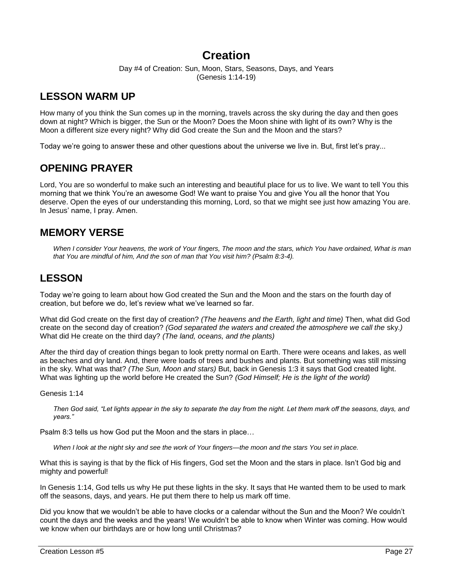# **Creation**

Day #4 of Creation: Sun, Moon, Stars, Seasons, Days, and Years (Genesis 1:14-19)

# **LESSON WARM UP**

How many of you think the Sun comes up in the morning, travels across the sky during the day and then goes down at night? Which is bigger, the Sun or the Moon? Does the Moon shine with light of its own? Why is the Moon a different size every night? Why did God create the Sun and the Moon and the stars?

Today we're going to answer these and other questions about the universe we live in. But, first let's pray...

## **OPENING PRAYER**

Lord, You are so wonderful to make such an interesting and beautiful place for us to live. We want to tell You this morning that we think You're an awesome God! We want to praise You and give You all the honor that You deserve. Open the eyes of our understanding this morning, Lord, so that we might see just how amazing You are. In Jesus' name, I pray. Amen.

## **MEMORY VERSE**

*When I consider Your heavens, the work of Your fingers, The moon and the stars, which You have ordained, What is man that You are mindful of him, And the son of man that You visit him? (Psalm 8:3-4).*

## **LESSON**

Today we're going to learn about how God created the Sun and the Moon and the stars on the fourth day of creation, but before we do, let's review what we've learned so far.

What did God create on the first day of creation? *(The heavens and the Earth, light and time)* Then, what did God create on the second day of creation? *(God separated the waters and created the atmosphere we call the* sky*.)* What did He create on the third day? *(The land, oceans, and the plants)*

After the third day of creation things began to look pretty normal on Earth. There were oceans and lakes, as well as beaches and dry land. And, there were loads of trees and bushes and plants. But something was still missing in the sky. What was that? *(The Sun, Moon and stars)* But, back in Genesis 1:3 it says that God created light. What was lighting up the world before He created the Sun? *(God Himself; He is the light of the world)*

Genesis 1:14

*Then God said, "Let lights appear in the sky to separate the day from the night. Let them mark off the seasons, days, and years."*

Psalm 8:3 tells us how God put the Moon and the stars in place…

*When I look at the night sky and see the work of Your fingers—the moon and the stars You set in place.*

What this is saying is that by the flick of His fingers, God set the Moon and the stars in place. Isn't God big and mighty and powerful!

In Genesis 1:14, God tells us why He put these lights in the sky. It says that He wanted them to be used to mark off the seasons, days, and years. He put them there to help us mark off time.

Did you know that we wouldn't be able to have clocks or a calendar without the Sun and the Moon? We couldn't count the days and the weeks and the years! We wouldn't be able to know when Winter was coming. How would we know when our birthdays are or how long until Christmas?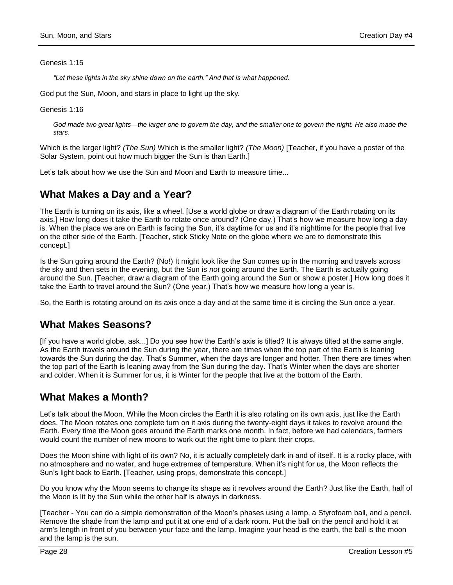Genesis 1:15

*"Let these lights in the sky shine down on the earth." And that is what happened.*

God put the Sun, Moon, and stars in place to light up the sky*.*

Genesis 1:16

God made two great lights—the larger one to govern the day, and the smaller one to govern the night. He also made the *stars.*

Which is the larger light? *(The Sun)* Which is the smaller light? *(The Moon)* [Teacher, if you have a poster of the Solar System, point out how much bigger the Sun is than Earth.]

Let's talk about how we use the Sun and Moon and Earth to measure time...

## **What Makes a Day and a Year?**

The Earth is turning on its axis, like a wheel. [Use a world globe or draw a diagram of the Earth rotating on its axis.] How long does it take the Earth to rotate once around? (One day.) That's how we measure how long a day is. When the place we are on Earth is facing the Sun, it's daytime for us and it's nighttime for the people that live on the other side of the Earth. [Teacher, stick Sticky Note on the globe where we are to demonstrate this concept.]

Is the Sun going around the Earth? (No!) It might look like the Sun comes up in the morning and travels across the sky and then sets in the evening, but the Sun is *not* going around the Earth. The Earth is actually going around the Sun. [Teacher, draw a diagram of the Earth going around the Sun or show a poster.] How long does it take the Earth to travel around the Sun? (One year.) That's how we measure how long a year is.

So, the Earth is rotating around on its axis once a day and at the same time it is circling the Sun once a year.

## **What Makes Seasons?**

[If you have a world globe, ask...] Do you see how the Earth's axis is tilted? It is always tilted at the same angle. As the Earth travels around the Sun during the year, there are times when the top part of the Earth is leaning towards the Sun during the day. That's Summer, when the days are longer and hotter. Then there are times when the top part of the Earth is leaning away from the Sun during the day. That's Winter when the days are shorter and colder. When it is Summer for us, it is Winter for the people that live at the bottom of the Earth.

## **What Makes a Month?**

Let's talk about the Moon. While the Moon circles the Earth it is also rotating on its own axis, just like the Earth does. The Moon rotates one complete turn on it axis during the twenty-eight days it takes to revolve around the Earth. Every time the Moon goes around the Earth marks one month. In fact, before we had calendars, farmers would count the number of new moons to work out the right time to plant their crops.

Does the Moon shine with light of its own? No, it is actually completely dark in and of itself. It is a rocky place, with no atmosphere and no water, and huge extremes of temperature. When it's night for us, the Moon reflects the Sun's light back to Earth. [Teacher, using props, demonstrate this concept.]

Do you know why the Moon seems to change its shape as it revolves around the Earth? Just like the Earth, half of the Moon is lit by the Sun while the other half is always in darkness.

[Teacher - You can do a simple demonstration of the Moon's phases using a lamp, a Styrofoam ball, and a pencil. Remove the shade from the lamp and put it at one end of a dark room. Put the ball on the pencil and hold it at arm's length in front of you between your face and the lamp. Imagine your head is the earth, the ball is the moon and the lamp is the sun.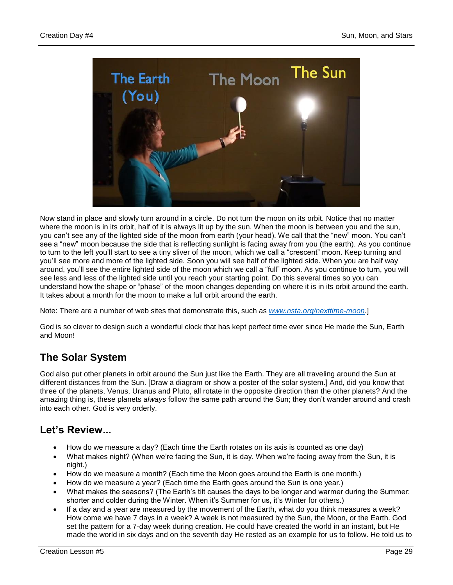

Now stand in place and slowly turn around in a circle. Do not turn the moon on its orbit. Notice that no matter where the moon is in its orbit, half of it is always lit up by the sun. When the moon is between you and the sun, you can't see any of the lighted side of the moon from earth (your head). We call that the "new" moon. You can't see a "new" moon because the side that is reflecting sunlight is facing away from you (the earth). As you continue to turn to the left you'll start to see a tiny sliver of the moon, which we call a "crescent" moon. Keep turning and you'll see more and more of the lighted side. Soon you will see half of the lighted side. When you are half way around, you'll see the entire lighted side of the moon which we call a "full" moon. As you continue to turn, you will see less and less of the lighted side until you reach your starting point. Do this several times so you can understand how the shape or "phase" of the moon changes depending on where it is in its orbit around the earth. It takes about a month for the moon to make a full orbit around the earth.

Note: There are a number of web sites that demonstrate this, such as *[www.nsta.org/nexttime-moon](http://www.nsta.org/nexttime-moon)*.]

God is so clever to design such a wonderful clock that has kept perfect time ever since He made the Sun, Earth and Moon!

# **The Solar System**

God also put other planets in orbit around the Sun just like the Earth. They are all traveling around the Sun at different distances from the Sun. [Draw a diagram or show a poster of the solar system.] And, did you know that three of the planets, Venus, Uranus and Pluto, all rotate in the opposite direction than the other planets? And the amazing thing is, these planets *always* follow the same path around the Sun; they don't wander around and crash into each other. God is very orderly.

## **Let's Review...**

- How do we measure a day? (Each time the Earth rotates on its axis is counted as one day)
- What makes night? (When we're facing the Sun, it is day. When we're facing away from the Sun, it is night.)
- How do we measure a month? (Each time the Moon goes around the Earth is one month.)
- How do we measure a year? (Each time the Earth goes around the Sun is one year.)
- What makes the seasons? (The Earth's tilt causes the days to be longer and warmer during the Summer; shorter and colder during the Winter. When it's Summer for us, it's Winter for others.)
- If a day and a year are measured by the movement of the Earth, what do you think measures a week? How come we have 7 days in a week? A week is not measured by the Sun, the Moon, or the Earth. God set the pattern for a 7-day week during creation. He could have created the world in an instant, but He made the world in six days and on the seventh day He rested as an example for us to follow. He told us to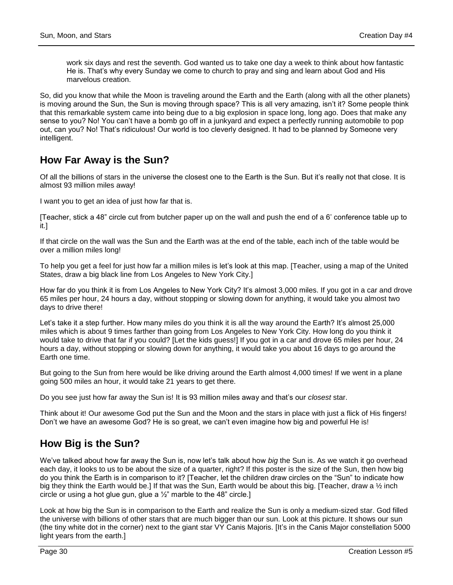work six days and rest the seventh. God wanted us to take one day a week to think about how fantastic He is. That's why every Sunday we come to church to pray and sing and learn about God and His marvelous creation.

So, did you know that while the Moon is traveling around the Earth and the Earth (along with all the other planets) is moving around the Sun, the Sun is moving through space? This is all very amazing, isn't it? Some people think that this remarkable system came into being due to a big explosion in space long, long ago. Does that make any sense to you? No! You can't have a bomb go off in a junkyard and expect a perfectly running automobile to pop out, can you? No! That's ridiculous! Our world is too cleverly designed. It had to be planned by Someone very intelligent.

## **How Far Away is the Sun?**

Of all the billions of stars in the universe the closest one to the Earth is the Sun. But it's really not that close. It is almost 93 million miles away!

I want you to get an idea of just how far that is.

[Teacher, stick a 48" circle cut from butcher paper up on the wall and push the end of a 6' conference table up to it.]

If that circle on the wall was the Sun and the Earth was at the end of the table, each inch of the table would be over a million miles long!

To help you get a feel for just how far a million miles is let's look at this map. [Teacher, using a map of the United States, draw a big black line from Los Angeles to New York City.]

How far do you think it is from Los Angeles to New York City? It's almost 3,000 miles. If you got in a car and drove 65 miles per hour, 24 hours a day, without stopping or slowing down for anything, it would take you almost two days to drive there!

Let's take it a step further. How many miles do you think it is all the way around the Earth? It's almost 25,000 miles which is about 9 times farther than going from Los Angeles to New York City. How long do you think it would take to drive that far if you could? [Let the kids guess!] If you got in a car and drove 65 miles per hour, 24 hours a day, without stopping or slowing down for anything, it would take you about 16 days to go around the Earth one time.

But going to the Sun from here would be like driving around the Earth almost 4,000 times! If we went in a plane going 500 miles an hour, it would take 21 years to get there.

Do you see just how far away the Sun is! It is 93 million miles away and that's our *closest* star.

Think about it! Our awesome God put the Sun and the Moon and the stars in place with just a flick of His fingers! Don't we have an awesome God? He is so great, we can't even imagine how big and powerful He is!

## **How Big is the Sun?**

We've talked about how far away the Sun is, now let's talk about how *big* the Sun is. As we watch it go overhead each day, it looks to us to be about the size of a quarter, right? If this poster is the size of the Sun, then how big do you think the Earth is in comparison to it? [Teacher, let the children draw circles on the "Sun" to indicate how big they think the Earth would be.] If that was the Sun, Earth would be about this big. [Teacher, draw a ½ inch circle or using a hot glue gun, glue a  $\frac{1}{2}$ " marble to the 48" circle.]

Look at how big the Sun is in comparison to the Earth and realize the Sun is only a medium-sized star. God filled the universe with billions of other stars that are much bigger than our sun. Look at this picture. It shows our sun (the tiny white dot in the corner) next to the giant star VY Canis Majoris. [It's in the Canis Major constellation 5000 light years from the earth.]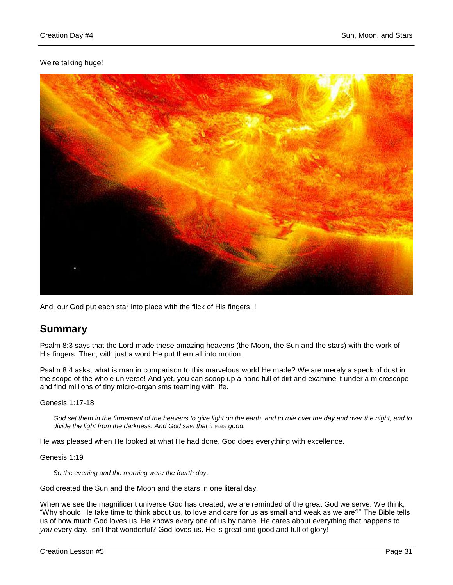### We're talking huge!



And, our God put each star into place with the flick of His fingers!!!

## **Summary**

Psalm 8:3 says that the Lord made these amazing heavens (the Moon, the Sun and the stars) with the work of His fingers. Then, with just a word He put them all into motion.

Psalm 8:4 asks, what is man in comparison to this marvelous world He made? We are merely a speck of dust in the scope of the whole universe! And yet, you can scoop up a hand full of dirt and examine it under a microscope and find millions of tiny micro-organisms teaming with life.

Genesis 1:17-18

*God set them in the firmament of the heavens to give light on the earth, and to rule over the day and over the night, and to divide the light from the darkness. And God saw that it was good.*

He was pleased when He looked at what He had done. God does everything with excellence.

Genesis 1:19

*So the evening and the morning were the fourth day.*

God created the Sun and the Moon and the stars in one literal day.

When we see the magnificent universe God has created, we are reminded of the great God we serve. We think, "Why should He take time to think about us, to love and care for us as small and weak as we are?" The Bible tells us of how much God loves us. He knows every one of us by name. He cares about everything that happens to *you* every day. Isn't that wonderful? God loves us. He is great and good and full of glory!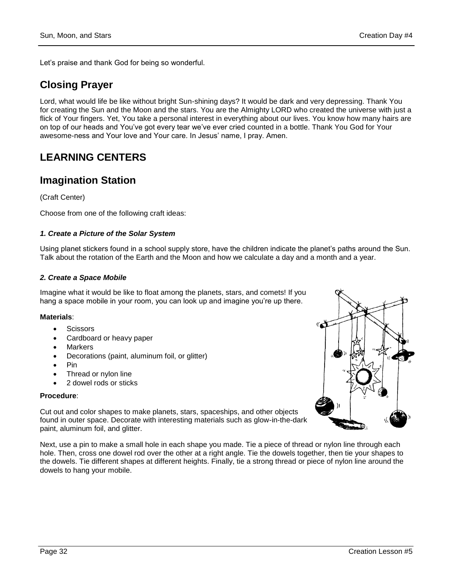Let's praise and thank God for being so wonderful.

# **Closing Prayer**

Lord, what would life be like without bright Sun-shining days? It would be dark and very depressing. Thank You for creating the Sun and the Moon and the stars. You are the Almighty LORD who created the universe with just a flick of Your fingers. Yet, You take a personal interest in everything about our lives. You know how many hairs are on top of our heads and You've got every tear we've ever cried counted in a bottle. Thank You God for Your awesome-ness and Your love and Your care. In Jesus' name, I pray. Amen.

# **LEARNING CENTERS**

## **Imagination Station**

(Craft Center)

Choose from one of the following craft ideas:

#### *1. Create a Picture of the Solar System*

Using planet stickers found in a school supply store, have the children indicate the planet's paths around the Sun. Talk about the rotation of the Earth and the Moon and how we calculate a day and a month and a year.

#### *2. Create a Space Mobile*

Imagine what it would be like to float among the planets, stars, and comets! If you hang a space mobile in your room, you can look up and imagine you're up there.

#### **Materials**:

- **Scissors**
- Cardboard or heavy paper
- Markers
- Decorations (paint, aluminum foil, or glitter)
- Pin
- Thread or nylon line
- 2 dowel rods or sticks

#### **Procedure**:

Cut out and color shapes to make planets, stars, spaceships, and other objects found in outer space. Decorate with interesting materials such as glow-in-the-dark paint, aluminum foil, and glitter.

Next, use a pin to make a small hole in each shape you made. Tie a piece of thread or nylon line through each hole. Then, cross one dowel rod over the other at a right angle. Tie the dowels together, then tie your shapes to the dowels. Tie different shapes at different heights. Finally, tie a strong thread or piece of nylon line around the dowels to hang your mobile.